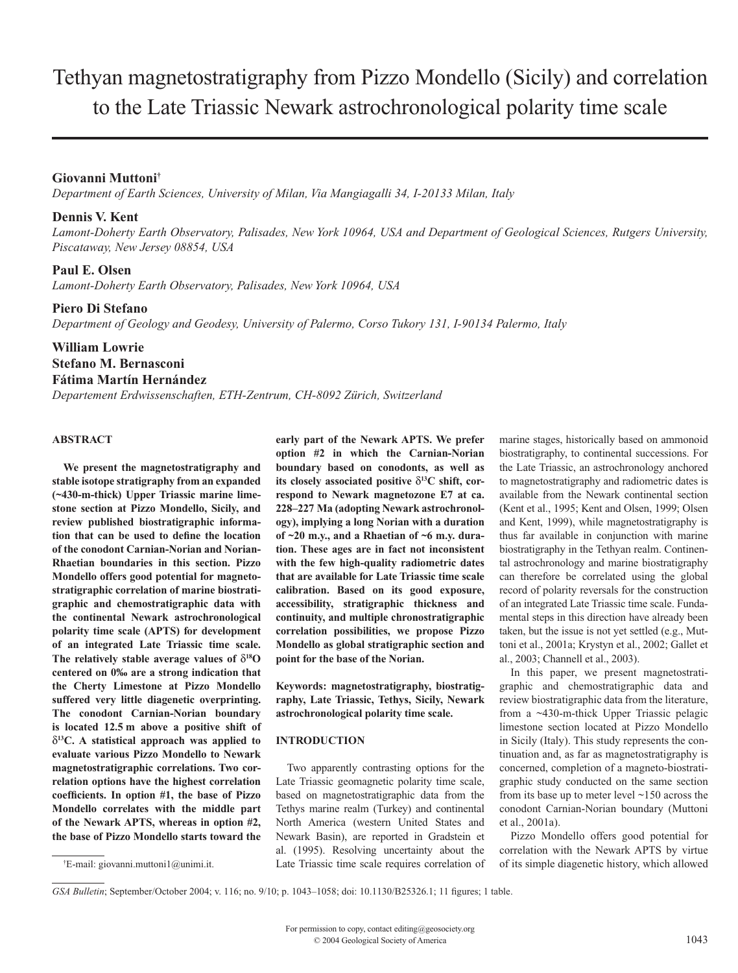# Tethyan magnetostratigraphy from Pizzo Mondello (Sicily) and correlation to the Late Triassic Newark astrochronological polarity time scale

# **Giovanni Muttoni†**

*Department of Earth Sciences, University of Milan, Via Mangiagalli 34, I-20133 Milan, Italy*

### **Dennis V. Kent**

*Lamont-Doherty Earth Observatory, Palisades, New York 10964, USA and Department of Geological Sciences, Rutgers University, Piscataway, New Jersey 08854, USA*

# **Paul E. Olsen**

*Lamont-Doherty Earth Observatory, Palisades, New York 10964, USA*

#### **Piero Di Stefano**

*Department of Geology and Geodesy, University of Palermo, Corso Tukory 131, I-90134 Palermo, Italy*

# **William Lowrie Stefano M. Bernasconi Fátima Martín Hernández**

*Departement Erdwissenschaften, ETH-Zentrum, CH-8092 Zürich, Switzerland*

#### **ABSTRACT**

**We present the magnetostratigraphy and stable isotope stratigraphy from an expanded (~430-m-thick) Upper Triassic marine limestone section at Pizzo Mondello, Sicily, and review published biostratigraphic information that can be used to define the location of the conodont Carnian-Norian and Norian-Rhaetian boundaries in this section. Pizzo Mondello offers good potential for magnetostratigraphic correlation of marine biostratigraphic and chemostratigraphic data with the continental Newark astrochronological polarity time scale (APTS) for development of an integrated Late Triassic time scale.**  The relatively stable average values of  $\delta^{18}$ O **centered on 0‰ are a strong indication that the Cherty Limestone at Pizzo Mondello suffered very little diagenetic overprinting. The conodont Carnian-Norian boundary is located 12.5 m above a positive shift of**  δ**13C. A statistical approach was applied to evaluate various Pizzo Mondello to Newark magnetostratigraphic correlations. Two correlation options have the highest correlation coefficients. In option #1, the base of Pizzo Mondello correlates with the middle part of the Newark APTS, whereas in option #2, the base of Pizzo Mondello starts toward the** 

**early part of the Newark APTS. We prefer option #2 in which the Carnian-Norian** 

**Keywords: magnetostratigraphy, biostratigraphy, Late Triassic, Tethys, Sicily, Newark astrochronological polarity time scale.**

#### **INTRODUCTION**

Two apparently contrasting options for the Late Triassic geomagnetic polarity time scale, based on magnetostratigraphic data from the Tethys marine realm (Turkey) and continental North America (western United States and Newark Basin), are reported in Gradstein et al. (1995). Resolving uncertainty about the Late Triassic time scale requires correlation of

marine stages, historically based on ammonoid biostratigraphy, to continental successions. For the Late Triassic, an astrochronology anchored to magnetostratigraphy and radiometric dates is available from the Newark continental section (Kent et al., 1995; Kent and Olsen, 1999; Olsen and Kent, 1999), while magnetostratigraphy is thus far available in conjunction with marine biostratigraphy in the Tethyan realm. Continental astrochronology and marine biostratigraphy can therefore be correlated using the global record of polarity reversals for the construction of an integrated Late Triassic time scale. Fundamental steps in this direction have already been taken, but the issue is not yet settled (e.g., Muttoni et al., 2001a; Krystyn et al., 2002; Gallet et al., 2003; Channell et al., 2003).

In this paper, we present magnetostratigraphic and chemostratigraphic data and review biostratigraphic data from the literature, from a ~430-m-thick Upper Triassic pelagic limestone section located at Pizzo Mondello in Sicily (Italy). This study represents the continuation and, as far as magnetostratigraphy is concerned, completion of a magneto-biostratigraphic study conducted on the same section from its base up to meter level ~150 across the conodont Carnian-Norian boundary (Muttoni et al., 2001a).

Pizzo Mondello offers good potential for correlation with the Newark APTS by virtue of its simple diagenetic history, which allowed

**boundary based on conodonts, as well as its closely associated positive** δ**13C shift, correspond to Newark magnetozone E7 at ca. 228–227 Ma (adopting Newark astrochronology), implying a long Norian with a duration of ~20 m.y., and a Rhaetian of ~6 m.y. duration. These ages are in fact not inconsistent with the few high-quality radiometric dates that are available for Late Triassic time scale calibration. Based on its good exposure, accessibility, stratigraphic thickness and continuity, and multiple chronostratigraphic correlation possibilities, we propose Pizzo Mondello as global stratigraphic section and point for the base of the Norian.**

<sup>†</sup> E-mail: giovanni.muttoni1@unimi.it.

*GSA Bulletin*; September/October 2004; v. 116; no. 9/10; p. 1043–1058; doi: 10.1130/B25326.1; 11 figures; 1 table.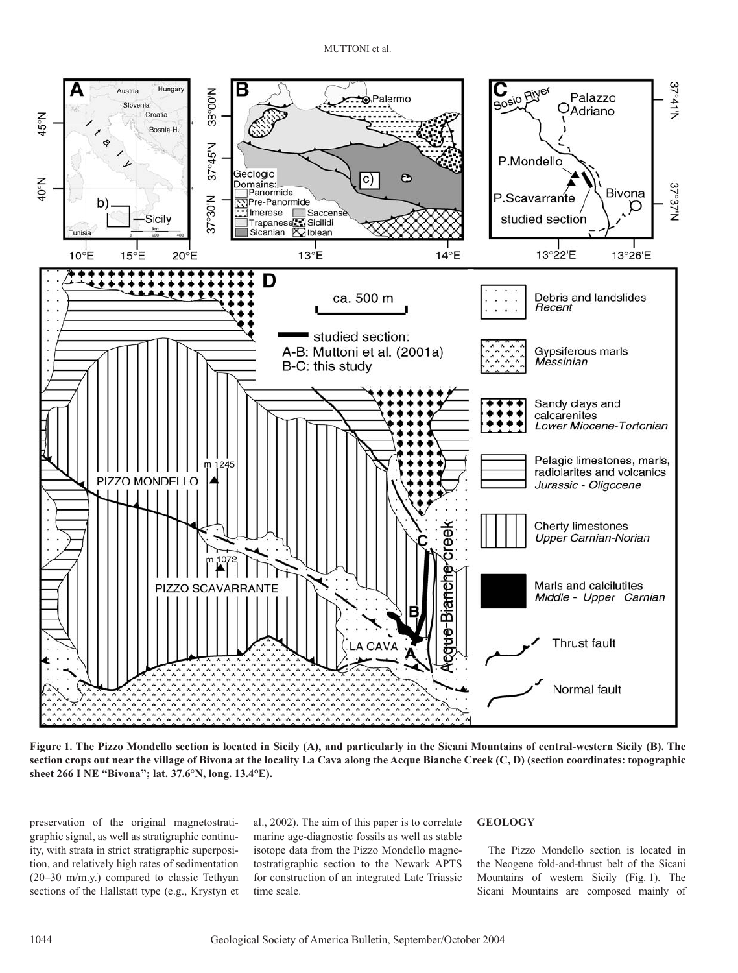

**Figure 1. The Pizzo Mondello section is located in Sicily (A), and particularly in the Sicani Mountains of central-western Sicily (B). The section crops out near the village of Bivona at the locality La Cava along the Acque Bianche Creek (C, D) (section coordinates: topographic sheet 266 I NE "Bivona"; lat. 37.6**°**N, long. 13.4°E).**

preservation of the original magnetostratigraphic signal, as well as stratigraphic continuity, with strata in strict stratigraphic superposition, and relatively high rates of sedimentation (20–30 m/m.y.) compared to classic Tethyan sections of the Hallstatt type (e.g., Krystyn et al., 2002). The aim of this paper is to correlate marine age-diagnostic fossils as well as stable isotope data from the Pizzo Mondello magnetostratigraphic section to the Newark APTS for construction of an integrated Late Triassic time scale.

#### **GEOLOGY**

The Pizzo Mondello section is located in the Neogene fold-and-thrust belt of the Sicani Mountains of western Sicily (Fig. 1). The Sicani Mountains are composed mainly of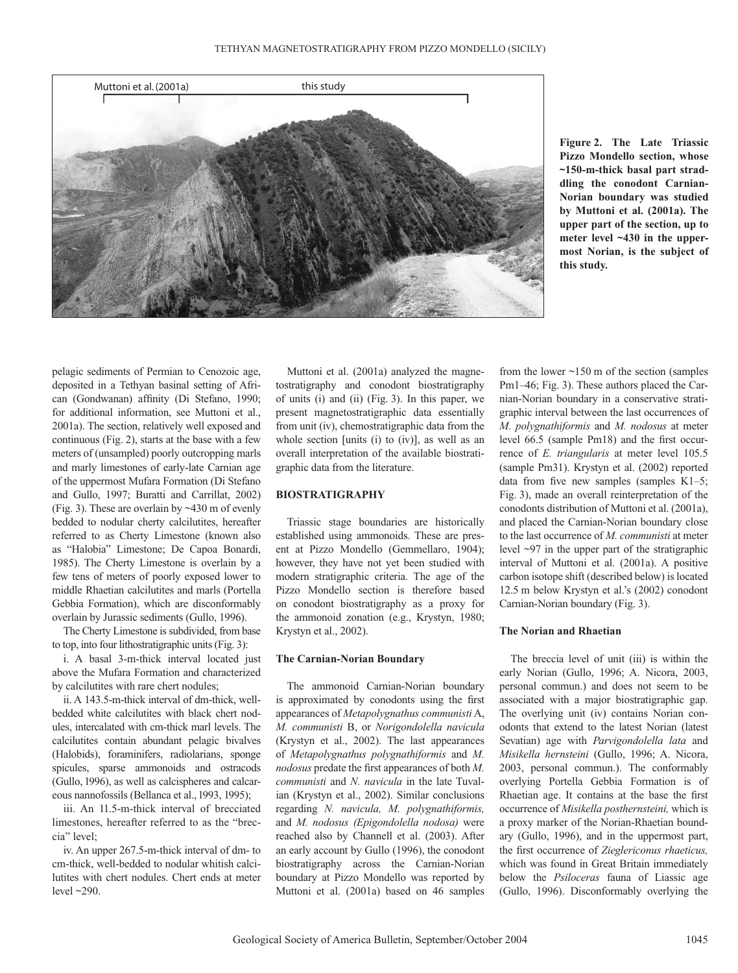

**Figure 2. The Late Triassic Pizzo Mondello section, whose ~150-m-thick basal part straddling the conodont Carnian-Norian boundary was studied by Muttoni et al. (2001a). The upper part of the section, up to meter level ~430 in the uppermost Norian, is the subject of this study.**

pelagic sediments of Permian to Cenozoic age, deposited in a Tethyan basinal setting of African (Gondwanan) affinity (Di Stefano, 1990; for additional information, see Muttoni et al., 2001a). The section, relatively well exposed and continuous (Fig. 2), starts at the base with a few meters of (unsampled) poorly outcropping marls and marly limestones of early-late Carnian age of the uppermost Mufara Formation (Di Stefano and Gullo, 1997; Buratti and Carrillat, 2002) (Fig. 3). These are overlain by ~430 m of evenly bedded to nodular cherty calcilutites, hereafter referred to as Cherty Limestone (known also as "Halobia" Limestone; De Capoa Bonardi, 1985). The Cherty Limestone is overlain by a few tens of meters of poorly exposed lower to middle Rhaetian calcilutites and marls (Portella Gebbia Formation), which are disconformably overlain by Jurassic sediments (Gullo, 1996).

The Cherty Limestone is subdivided, from base to top, into four lithostratigraphic units (Fig. 3):

i. A basal 3-m-thick interval located just above the Mufara Formation and characterized by calcilutites with rare chert nodules;

ii. A 143.5-m-thick interval of dm-thick, wellbedded white calcilutites with black chert nodules, intercalated with cm-thick marl levels. The calcilutites contain abundant pelagic bivalves (Halobids), foraminifers, radiolarians, sponge spicules, sparse ammonoids and ostracods (Gullo, 1996), as well as calcispheres and calcareous nannofossils (Bellanca et al., 1993, 1995);

iii. An 11.5-m-thick interval of brecciated limestones, hereafter referred to as the "breccia" level;

iv. An upper 267.5-m-thick interval of dm- to cm-thick, well-bedded to nodular whitish calcilutites with chert nodules. Chert ends at meter level  $\sim$ 290.

Muttoni et al. (2001a) analyzed the magnetostratigraphy and conodont biostratigraphy of units (i) and (ii) (Fig. 3). In this paper, we present magnetostratigraphic data essentially from unit (iv), chemostratigraphic data from the whole section [units (i) to (iv)], as well as an overall interpretation of the available biostratigraphic data from the literature.

# **BIOSTRATIGRAPHY**

Triassic stage boundaries are historically established using ammonoids. These are present at Pizzo Mondello (Gemmellaro, 1904); however, they have not yet been studied with modern stratigraphic criteria. The age of the Pizzo Mondello section is therefore based on conodont biostratigraphy as a proxy for the ammonoid zonation (e.g., Krystyn, 1980; Krystyn et al., 2002).

#### **The Carnian-Norian Boundary**

The ammonoid Carnian-Norian boundary is approximated by conodonts using the first appearances of *Metapolygnathus communisti* A, *M. communisti* B, or *Norigondolella navicula*  (Krystyn et al., 2002). The last appearances of *Metapolygnathus polygnathiformis* and *M. nodosus* predate the first appearances of both *M. communisti* and *N. navicula* in the late Tuvalian (Krystyn et al., 2002). Similar conclusions regarding *N. navicula, M. polygnathiformis,* and *M. nodosus (Epigondolella nodosa)* were reached also by Channell et al. (2003). After an early account by Gullo (1996), the conodont biostratigraphy across the Carnian-Norian boundary at Pizzo Mondello was reported by Muttoni et al. (2001a) based on 46 samples

from the lower  $\sim$ 150 m of the section (samples Pm1–46; Fig. 3). These authors placed the Carnian-Norian boundary in a conservative stratigraphic interval between the last occurrences of *M. polygnathiformis* and *M. nodosus* at meter level 66.5 (sample Pm18) and the first occurrence of *E. triangularis* at meter level 105.5 (sample Pm31). Krystyn et al. (2002) reported data from five new samples (samples K1–5; Fig. 3), made an overall reinterpretation of the conodonts distribution of Muttoni et al. (2001a), and placed the Carnian-Norian boundary close to the last occurrence of *M. communisti* at meter level ~97 in the upper part of the stratigraphic interval of Muttoni et al. (2001a). A positive carbon isotope shift (described below) is located 12.5 m below Krystyn et al.'s (2002) conodont Carnian-Norian boundary (Fig. 3).

#### **The Norian and Rhaetian**

The breccia level of unit (iii) is within the early Norian (Gullo, 1996; A. Nicora, 2003, personal commun.) and does not seem to be associated with a major biostratigraphic gap. The overlying unit (iv) contains Norian conodonts that extend to the latest Norian (latest Sevatian) age with *Parvigondolella lata* and *Misikella hernsteini* (Gullo, 1996; A. Nicora, 2003, personal commun.). The conformably overlying Portella Gebbia Formation is of Rhaetian age. It contains at the base the first occurrence of *Misikella posthernsteini,* which is a proxy marker of the Norian-Rhaetian boundary (Gullo, 1996), and in the uppermost part, the first occurrence of *Zieglericonus rhaeticus,* which was found in Great Britain immediately below the *Psiloceras* fauna of Liassic age (Gullo, 1996). Disconformably overlying the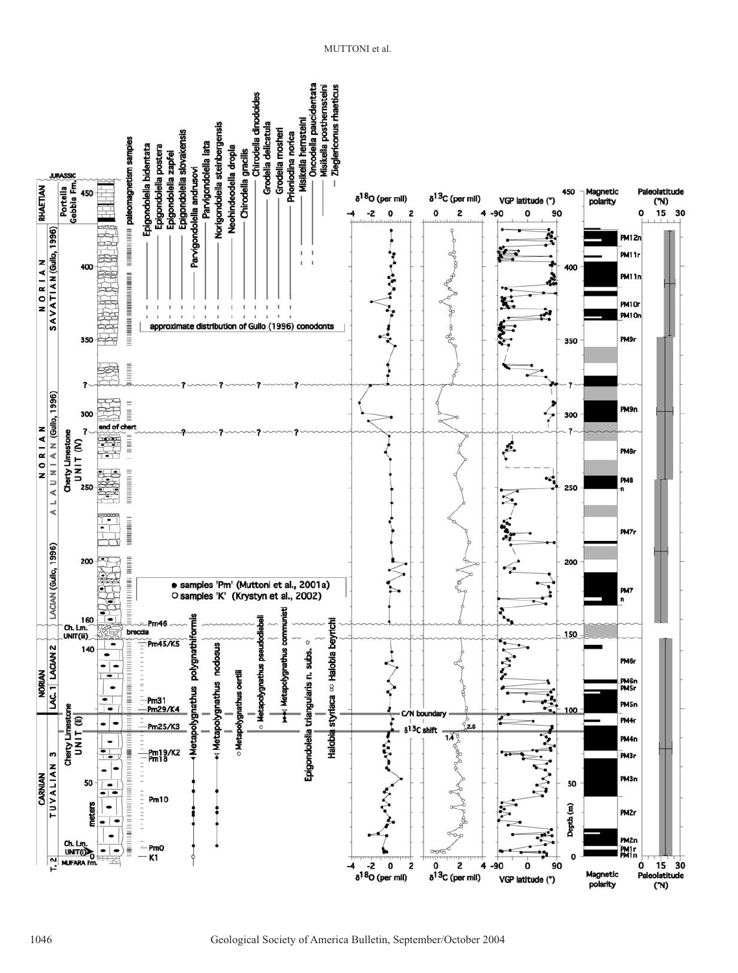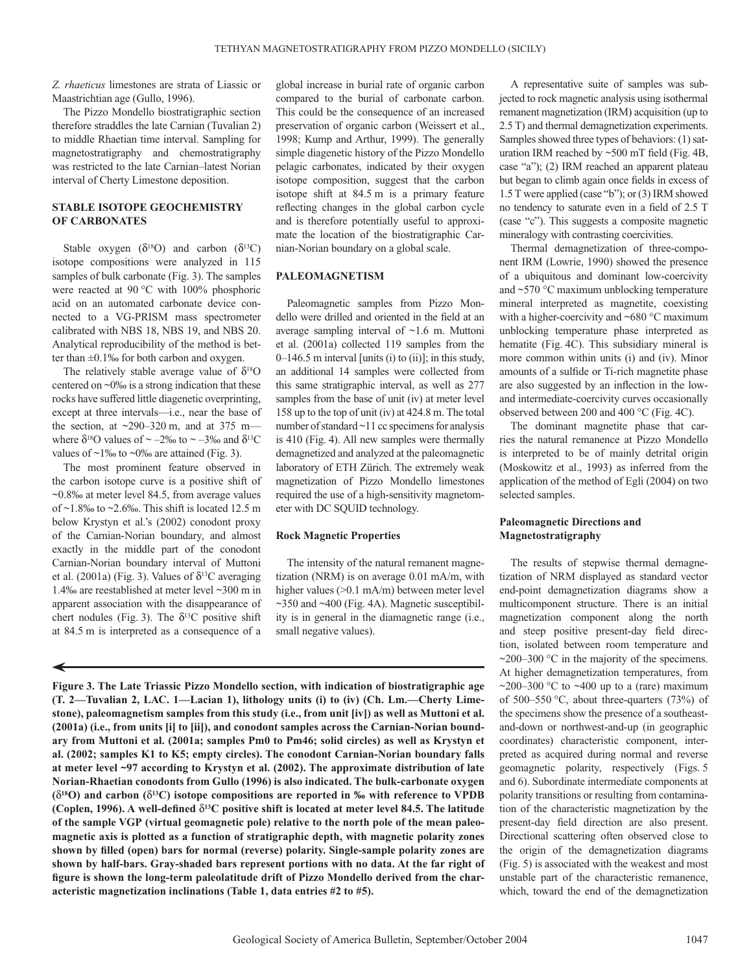*Z. rhaeticus* limestones are strata of Liassic or Maastrichtian age (Gullo, 1996).

The Pizzo Mondello biostratigraphic section therefore straddles the late Carnian (Tuvalian 2) to middle Rhaetian time interval. Sampling for magnetostratigraphy and chemostratigraphy was restricted to the late Carnian–latest Norian interval of Cherty Limestone deposition.

#### **STABLE ISOTOPE GEOCHEMISTRY OF CARBONATES**

Stable oxygen  $(\delta^{18}O)$  and carbon  $(\delta^{13}C)$ isotope compositions were analyzed in 115 samples of bulk carbonate (Fig. 3). The samples were reacted at 90 °C with 100% phosphoric acid on an automated carbonate device connected to a VG-PRISM mass spectrometer calibrated with NBS 18, NBS 19, and NBS 20. Analytical reproducibility of the method is better than ±0.1‰ for both carbon and oxygen.

The relatively stable average value of  $\delta^{18}O$ centered on ~0‰ is a strong indication that these rocks have suffered little diagenetic overprinting, except at three intervals—i.e., near the base of the section, at  $\sim$ 290–320 m, and at 375 m– where  $\delta^{18}$ O values of ~ –2‰ to ~ –3‰ and  $\delta^{13}$ C values of  $\sim$ 1‰ to  $\sim$ 0‰ are attained (Fig. 3).

The most prominent feature observed in the carbon isotope curve is a positive shift of ~0.8‰ at meter level 84.5, from average values of  $\sim$ 1.8‰ to  $\sim$ 2.6‰. This shift is located 12.5 m below Krystyn et al.'s (2002) conodont proxy of the Carnian-Norian boundary, and almost exactly in the middle part of the conodont Carnian-Norian boundary interval of Muttoni et al. (2001a) (Fig. 3). Values of  $\delta^{13}$ C averaging 1.4‰ are reestablished at meter level ~300 m in apparent association with the disappearance of chert nodules (Fig. 3). The  $\delta^{13}$ C positive shift at 84.5 m is interpreted as a consequence of a

◢

global increase in burial rate of organic carbon compared to the burial of carbonate carbon. This could be the consequence of an increased preservation of organic carbon (Weissert et al., 1998; Kump and Arthur, 1999). The generally simple diagenetic history of the Pizzo Mondello pelagic carbonates, indicated by their oxygen isotope composition, suggest that the carbon isotope shift at 84.5 m is a primary feature reflecting changes in the global carbon cycle and is therefore potentially useful to approximate the location of the biostratigraphic Carnian-Norian boundary on a global scale.

### **PALEOMAGNETISM**

Paleomagnetic samples from Pizzo Mondello were drilled and oriented in the field at an average sampling interval of ~1.6 m. Muttoni et al. (2001a) collected 119 samples from the  $0-146.5$  m interval [units (i) to (ii)]; in this study, an additional 14 samples were collected from this same stratigraphic interval, as well as 277 samples from the base of unit (iv) at meter level 158 up to the top of unit (iv) at 424.8 m. The total number of standard ~11 cc specimens for analysis is 410 (Fig. 4). All new samples were thermally demagnetized and analyzed at the paleomagnetic laboratory of ETH Zürich. The extremely weak magnetization of Pizzo Mondello limestones required the use of a high-sensitivity magnetometer with DC SQUID technology.

#### **Rock Magnetic Properties**

The intensity of the natural remanent magnetization (NRM) is on average 0.01 mA/m, with higher values (>0.1 mA/m) between meter level ~350 and ~400 (Fig. 4A). Magnetic susceptibility is in general in the diamagnetic range (i.e., small negative values).

**Figure 3. The Late Triassic Pizzo Mondello section, with indication of biostratigraphic age (T. 2—Tuvalian 2, LAC. 1—Lacian 1), lithology units (i) to (iv) (Ch. Lm.—Cherty Limestone), paleomagnetism samples from this study (i.e., from unit [iv]) as well as Muttoni et al. (2001a) (i.e., from units [i] to [ii]), and conodont samples across the Carnian-Norian boundary from Muttoni et al. (2001a; samples Pm0 to Pm46; solid circles) as well as Krystyn et al. (2002; samples K1 to K5; empty circles). The conodont Carnian-Norian boundary falls at meter level ~97 according to Krystyn et al. (2002). The approximate distribution of late Norian-Rhaetian conodonts from Gullo (1996) is also indicated. The bulk-carbonate oxygen (**δ**18O) and carbon (**δ**13C) isotope compositions are reported in ‰ with reference to VPDB (Coplen, 1996). A well-defined** δ**13C positive shift is located at meter level 84.5. The latitude of the sample VGP (virtual geomagnetic pole) relative to the north pole of the mean paleomagnetic axis is plotted as a function of stratigraphic depth, with magnetic polarity zones shown by filled (open) bars for normal (reverse) polarity. Single-sample polarity zones are shown by half-bars. Gray-shaded bars represent portions with no data. At the far right of figure is shown the long-term paleolatitude drift of Pizzo Mondello derived from the characteristic magnetization inclinations (Table 1, data entries #2 to #5).**

A representative suite of samples was subjected to rock magnetic analysis using isothermal remanent magnetization (IRM) acquisition (up to 2.5 T) and thermal demagnetization experiments. Samples showed three types of behaviors: (1) saturation IRM reached by ~500 mT field (Fig. 4B, case "a"); (2) IRM reached an apparent plateau but began to climb again once fields in excess of 1.5 T were applied (case "b"); or (3) IRM showed no tendency to saturate even in a field of 2.5 T (case "c"). This suggests a composite magnetic mineralogy with contrasting coercivities.

Thermal demagnetization of three-component IRM (Lowrie, 1990) showed the presence of a ubiquitous and dominant low-coercivity and ~570 °C maximum unblocking temperature mineral interpreted as magnetite, coexisting with a higher-coercivity and ~680 °C maximum unblocking temperature phase interpreted as hematite (Fig. 4C). This subsidiary mineral is more common within units (i) and (iv). Minor amounts of a sulfide or Ti-rich magnetite phase are also suggested by an inflection in the lowand intermediate-coercivity curves occasionally observed between 200 and 400 °C (Fig. 4C).

The dominant magnetite phase that carries the natural remanence at Pizzo Mondello is interpreted to be of mainly detrital origin (Moskowitz et al., 1993) as inferred from the application of the method of Egli (2004) on two selected samples.

#### **Paleomagnetic Directions and Magnetostratigraphy**

The results of stepwise thermal demagnetization of NRM displayed as standard vector end-point demagnetization diagrams show a multicomponent structure. There is an initial magnetization component along the north and steep positive present-day field direction, isolated between room temperature and  $\sim$ 200–300 °C in the majority of the specimens. At higher demagnetization temperatures, from ~200–300 °C to ~400 up to a (rare) maximum of 500–550 °C, about three-quarters (73%) of the specimens show the presence of a southeastand-down or northwest-and-up (in geographic coordinates) characteristic component, interpreted as acquired during normal and reverse geomagnetic polarity, respectively (Figs. 5 and 6). Subordinate intermediate components at polarity transitions or resulting from contamination of the characteristic magnetization by the present-day field direction are also present. Directional scattering often observed close to the origin of the demagnetization diagrams (Fig. 5) is associated with the weakest and most unstable part of the characteristic remanence, which, toward the end of the demagnetization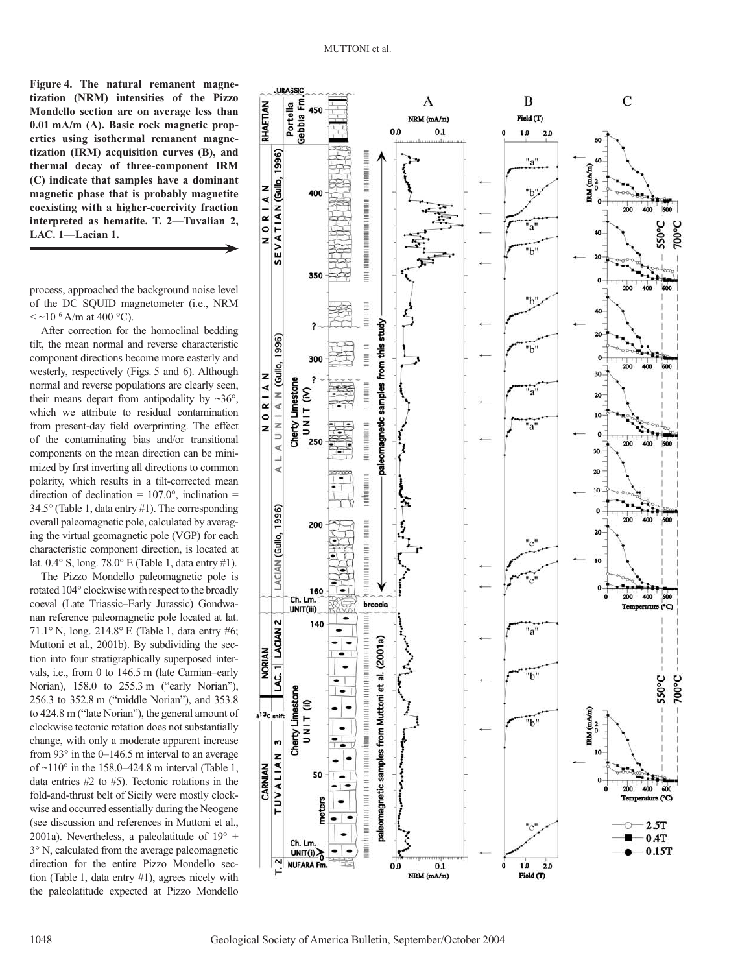**Figure 4. The natural remanent magnetization (NRM) intensities of the Pizzo Mondello section are on average less than 0.01 mA/m (A). Basic rock magnetic properties using isothermal remanent magnetization (IRM) acquisition curves (B), and thermal decay of three-component IRM (C) indicate that samples have a dominant magnetic phase that is probably magnetite coexisting with a higher-coercivity fraction interpreted as hematite. T. 2—Tuvalian 2, LAC. 1—Lacian 1.**

process, approached the background noise level of the DC SQUID magnetometer (i.e., NRM  $\langle \sim 10^{-6}$  A/m at 400 °C).

After correction for the homoclinal bedding tilt, the mean normal and reverse characteristic component directions become more easterly and westerly, respectively (Figs. 5 and 6). Although normal and reverse populations are clearly seen, their means depart from antipodality by  $\sim 36^{\circ}$ , which we attribute to residual contamination from present-day field overprinting. The effect of the contaminating bias and/or transitional components on the mean direction can be minimized by first inverting all directions to common polarity, which results in a tilt-corrected mean direction of declination =  $107.0^{\circ}$ , inclination = 34.5° (Table 1, data entry #1). The corresponding overall paleomagnetic pole, calculated by averaging the virtual geomagnetic pole (VGP) for each characteristic component direction, is located at lat.  $0.4^{\circ}$  S, long. 78.0° E (Table 1, data entry #1).

The Pizzo Mondello paleomagnetic pole is rotated 104° clockwise with respect to the broadly coeval (Late Triassic–Early Jurassic) Gondwanan reference paleomagnetic pole located at lat. 71.1° N, long. 214.8° E (Table 1, data entry #6; Muttoni et al., 2001b). By subdividing the section into four stratigraphically superposed intervals, i.e., from 0 to 146.5 m (late Carnian–early Norian), 158.0 to 255.3 m ("early Norian"), 256.3 to 352.8 m ("middle Norian"), and 353.8 to 424.8 m ("late Norian"), the general amount of clockwise tectonic rotation does not substantially change, with only a moderate apparent increase from  $93^\circ$  in the 0–146.5 m interval to an average of  $\sim$ 110 $\degree$  in the 158.0–424.8 m interval (Table 1, data entries #2 to #5). Tectonic rotations in the fold-and-thrust belt of Sicily were mostly clockwise and occurred essentially during the Neogene (see discussion and references in Muttoni et al., 2001a). Nevertheless, a paleolatitude of  $19^{\circ}$   $\pm$ 3° N, calculated from the average paleomagnetic direction for the entire Pizzo Mondello section (Table 1, data entry #1), agrees nicely with the paleolatitude expected at Pizzo Mondello

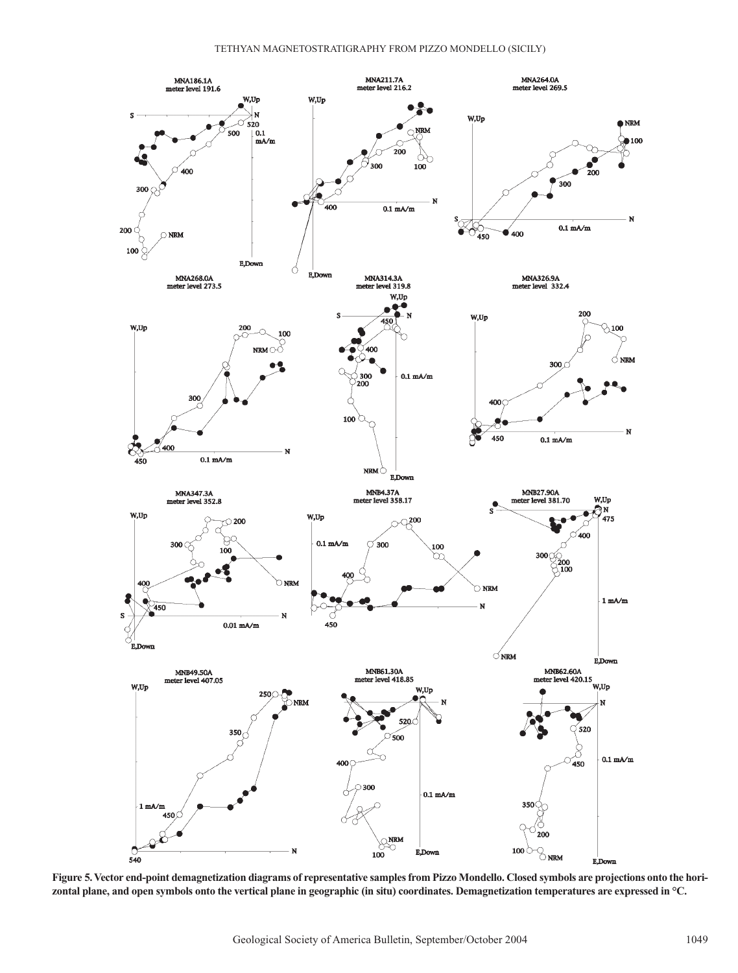

**Figure 5. Vector end-point demagnetization diagrams of representative samples from Pizzo Mondello. Closed symbols are projections onto the horizontal plane, and open symbols onto the vertical plane in geographic (in situ) coordinates. Demagnetization temperatures are expressed in °C.**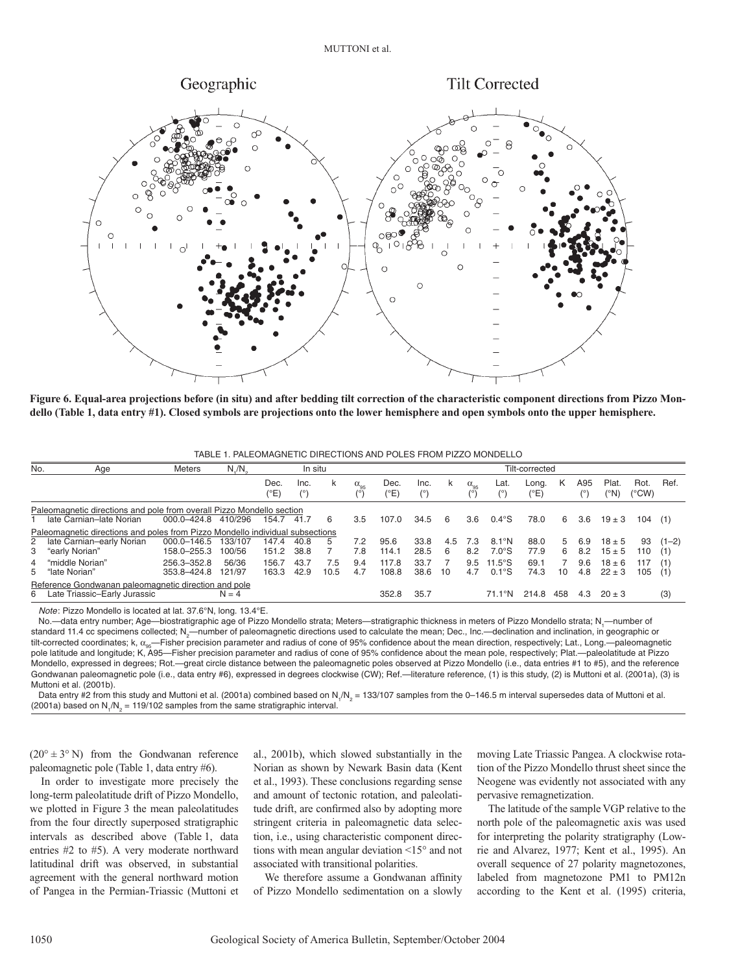

**Figure 6. Equal-area projections before (in situ) and after bedding tilt correction of the characteristic component directions from Pizzo Mondello (Table 1, data entry #1). Closed symbols are projections onto the lower hemisphere and open symbols onto the upper hemisphere.**

| No.                                                                           | Age                                                                   | <b>Meters</b>   | $N/M_{\circ}$ | In situ      |      |      |                    | Tilt-corrected |             |     |                      |                |                        |     |            |               |               |         |  |
|-------------------------------------------------------------------------------|-----------------------------------------------------------------------|-----------------|---------------|--------------|------|------|--------------------|----------------|-------------|-----|----------------------|----------------|------------------------|-----|------------|---------------|---------------|---------|--|
|                                                                               |                                                                       |                 |               | Dec.<br>(°E) | Inc. | k    | $\alpha_{\rm{gs}}$ | Dec.<br>(°E'   | Inc.<br>(°) | ĸ   | $\alpha_{95}$<br>(°) | Lat.           | Long.<br>$(^{\circ}E)$ | Κ   | A95<br>(°) | Plat.<br>(°N) | Rot.<br>(°CW) | Ref.    |  |
|                                                                               | Paleomagnetic directions and pole from overall Pizzo Mondello section |                 |               |              |      |      |                    |                |             |     |                      |                |                        |     |            |               |               |         |  |
|                                                                               | 1 late Carnian-late Norian                                            | 000.0-424.8     | 410/296       | 154.7        | 41.7 | 6    | 3.5                | 107.0          | 34.5        | 6   | 3.6                  | $0.4^\circ$ S  | 78.0                   | 6   | 3.6        | $19 \pm 3$    | 104           | (1)     |  |
| Paleomagnetic directions and poles from Pizzo Mondello individual subsections |                                                                       |                 |               |              |      |      |                    |                |             |     |                      |                |                        |     |            |               |               |         |  |
|                                                                               | 2 late Carnian-early Norian                                           | $000.0 - 146.5$ | 133/107       | 147.4        | 40.8 | 5    | 7.2                | 95.6           | 33.8        | 4.5 | 7.3                  | $8.1^\circ$ N  | 88.0                   | 5   | 6.9        | $18 \pm 5$    | 93            | $(1-2)$ |  |
|                                                                               | 3 "early Norian"                                                      | 158.0-255.3     | 100/56        | 151.2        | 38.8 |      | 7.8                | 114.1          | 28.5        | 6   | 8.2                  | $7.0^\circ$ S  | 77.9                   | 6   | 8.2        | $15 \pm 5$    | 110           | (1)     |  |
|                                                                               | 4 "middle Norian"                                                     | 256.3-352.8     | 56/36         | 156.7        | 43.7 | 7.5  | 9.4                | 117.8          | 33.7        |     | 9.5                  | $11.5^\circ$ S | 69.1                   |     | 9.6        | $18 \pm 6$    | 117           | (1)     |  |
|                                                                               | 5 "late Norian"                                                       | 353.8-424.8     | 121/97        | 163.3        | 42.9 | 10.5 | 4.7                | 108.8          | 38.6        | 10  | 4.7                  | $0.1^\circ$ S  | 74.3                   | 10  | 4.8        | $22 \pm 3$    | 105           | (1)     |  |
| Reference Gondwanan paleomagnetic direction and pole                          |                                                                       |                 |               |              |      |      |                    |                |             |     |                      |                |                        |     |            |               |               |         |  |
|                                                                               | 6 Late Triassic-Early Jurassic                                        |                 | $N = 4$       |              |      |      |                    | 352.8          | 35.7        |     |                      | 71.1°N         | 214.8                  | 458 | 4.3        | $20 \pm 3$    |               | (3)     |  |

Note: Pizzo Mondello is located at lat. 37.6°N, long. 13.4°E.

No.—data entry number; Age—biostratigraphic age of Pizzo Mondello strata; Meters—stratigraphic thickness in meters of Pizzo Mondello strata; N,—number of standard 11.4 cc specimens collected; N<sub>2</sub>—number of paleomagnetic directions used to calculate the mean; Dec., Inc.—declination and inclination, in geographic or tilt-corrected coordinates; k,  $\alpha_{95}$ -Fisher precision parameter and radius of cone of 95% confidence about the mean direction, respectively; Lat., Long.—paleomagnetic pole latitude and longitude; K, A95—Fisher precision parameter and radius of cone of 95% confidence about the mean pole, respectively; Plat.—paleolatitude at Pizzo Mondello, expressed in degrees; Rot.—great circle distance between the paleomagnetic poles observed at Pizzo Mondello (i.e., data entries #1 to #5), and the reference Gondwanan paleomagnetic pole (i.e., data entry #6), expressed in degrees clockwise (CW); Ref.—literature reference, (1) is this study, (2) is Muttoni et al. (2001a), (3) is Muttoni et al. (2001b).

Data entry #2 from this study and Muttoni et al. (2001a) combined based on N<sub>1</sub>/N<sub>2</sub> = 133/107 samples from the 0–146.5 m interval supersedes data of Muttoni et al. (2001a) based on  $N_1/N_2$  = 119/102 samples from the same stratigraphic interval.

 $(20^{\circ} \pm 3^{\circ} \text{ N})$  from the Gondwanan reference paleomagnetic pole (Table 1, data entry #6).

In order to investigate more precisely the long-term paleolatitude drift of Pizzo Mondello, we plotted in Figure 3 the mean paleolatitudes from the four directly superposed stratigraphic intervals as described above (Table 1, data entries #2 to #5). A very moderate northward latitudinal drift was observed, in substantial agreement with the general northward motion of Pangea in the Permian-Triassic (Muttoni et al., 2001b), which slowed substantially in the Norian as shown by Newark Basin data (Kent et al., 1993). These conclusions regarding sense and amount of tectonic rotation, and paleolatitude drift, are confirmed also by adopting more stringent criteria in paleomagnetic data selection, i.e., using characteristic component directions with mean angular deviation <15° and not associated with transitional polarities.

We therefore assume a Gondwanan affinity of Pizzo Mondello sedimentation on a slowly moving Late Triassic Pangea. A clockwise rotation of the Pizzo Mondello thrust sheet since the Neogene was evidently not associated with any pervasive remagnetization.

The latitude of the sample VGP relative to the north pole of the paleomagnetic axis was used for interpreting the polarity stratigraphy (Lowrie and Alvarez, 1977; Kent et al., 1995). An overall sequence of 27 polarity magnetozones, labeled from magnetozone PM1 to PM12n according to the Kent et al. (1995) criteria,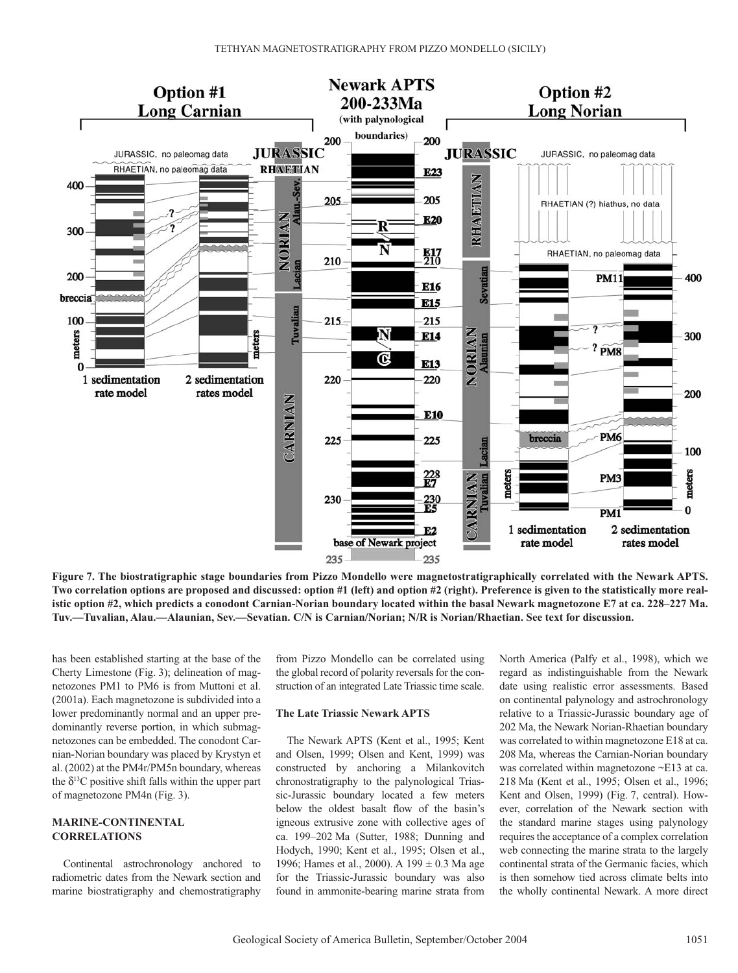

**Figure 7. The biostratigraphic stage boundaries from Pizzo Mondello were magnetostratigraphically correlated with the Newark APTS. Two correlation options are proposed and discussed: option #1 (left) and option #2 (right). Preference is given to the statistically more realistic option #2, which predicts a conodont Carnian-Norian boundary located within the basal Newark magnetozone E7 at ca. 228–227 Ma. Tuv.—Tuvalian, Alau.—Alaunian, Sev.—Sevatian. C/N is Carnian/Norian; N/R is Norian/Rhaetian. See text for discussion.**

has been established starting at the base of the Cherty Limestone (Fig. 3); delineation of magnetozones PM1 to PM6 is from Muttoni et al. (2001a). Each magnetozone is subdivided into a lower predominantly normal and an upper predominantly reverse portion, in which submagnetozones can be embedded. The conodont Carnian-Norian boundary was placed by Krystyn et al. (2002) at the PM4r/PM5n boundary, whereas the  $\delta^{13}$ C positive shift falls within the upper part of magnetozone PM4n (Fig. 3).

# **MARINE-CONTINENTAL CORRELATIONS**

Continental astrochronology anchored to radiometric dates from the Newark section and marine biostratigraphy and chemostratigraphy

from Pizzo Mondello can be correlated using the global record of polarity reversals for the construction of an integrated Late Triassic time scale.

### **The Late Triassic Newark APTS**

The Newark APTS (Kent et al., 1995; Kent and Olsen, 1999; Olsen and Kent, 1999) was constructed by anchoring a Milankovitch chronostratigraphy to the palynological Triassic-Jurassic boundary located a few meters below the oldest basalt flow of the basin's igneous extrusive zone with collective ages of ca. 199–202 Ma (Sutter, 1988; Dunning and Hodych, 1990; Kent et al., 1995; Olsen et al., 1996; Hames et al., 2000). A 199 ± 0.3 Ma age for the Triassic-Jurassic boundary was also found in ammonite-bearing marine strata from North America (Palfy et al., 1998), which we regard as indistinguishable from the Newark date using realistic error assessments. Based on continental palynology and astrochronology relative to a Triassic-Jurassic boundary age of 202 Ma, the Newark Norian-Rhaetian boundary was correlated to within magnetozone E18 at ca. 208 Ma, whereas the Carnian-Norian boundary was correlated within magnetozone ~E13 at ca. 218 Ma (Kent et al., 1995; Olsen et al., 1996; Kent and Olsen, 1999) (Fig. 7, central). However, correlation of the Newark section with the standard marine stages using palynology requires the acceptance of a complex correlation web connecting the marine strata to the largely continental strata of the Germanic facies, which is then somehow tied across climate belts into the wholly continental Newark. A more direct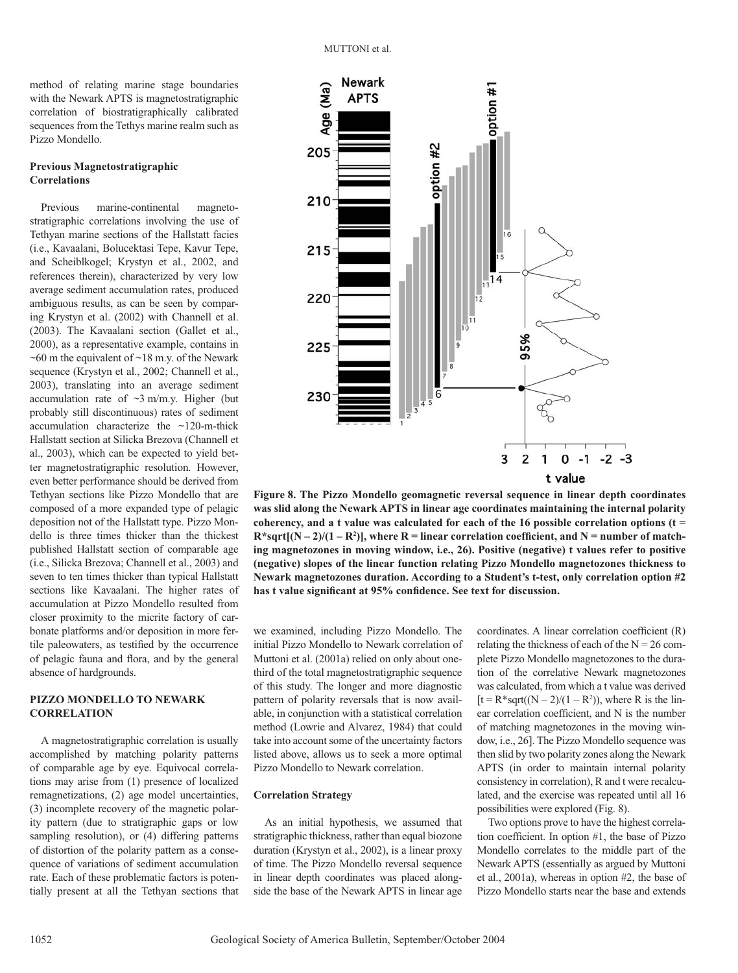method of relating marine stage boundaries with the Newark APTS is magnetostratigraphic correlation of biostratigraphically calibrated sequences from the Tethys marine realm such as Pizzo Mondello.

#### **Previous Magnetostratigraphic Correlations**

Previous marine-continental magnetostratigraphic correlations involving the use of Tethyan marine sections of the Hallstatt facies (i.e., Kavaalani, Bolucektasi Tepe, Kavur Tepe, and Scheiblkogel; Krystyn et al., 2002, and references therein), characterized by very low average sediment accumulation rates, produced ambiguous results, as can be seen by comparing Krystyn et al. (2002) with Channell et al. (2003). The Kavaalani section (Gallet et al., 2000), as a representative example, contains in  $~60$  m the equivalent of  $~18$  m.y. of the Newark sequence (Krystyn et al., 2002; Channell et al., 2003), translating into an average sediment accumulation rate of  $\sim$ 3 m/m.y. Higher (but probably still discontinuous) rates of sediment accumulation characterize the ~120-m-thick Hallstatt section at Silicka Brezova (Channell et al., 2003), which can be expected to yield better magnetostratigraphic resolution. However, even better performance should be derived from Tethyan sections like Pizzo Mondello that are composed of a more expanded type of pelagic deposition not of the Hallstatt type. Pizzo Mondello is three times thicker than the thickest published Hallstatt section of comparable age (i.e., Silicka Brezova; Channell et al., 2003) and seven to ten times thicker than typical Hallstatt sections like Kavaalani. The higher rates of accumulation at Pizzo Mondello resulted from closer proximity to the micrite factory of carbonate platforms and/or deposition in more fertile paleowaters, as testified by the occurrence of pelagic fauna and flora, and by the general absence of hardgrounds.

#### **PIZZO MONDELLO TO NEWARK CORRELATION**

A magnetostratigraphic correlation is usually accomplished by matching polarity patterns of comparable age by eye. Equivocal correlations may arise from (1) presence of localized remagnetizations, (2) age model uncertainties, (3) incomplete recovery of the magnetic polarity pattern (due to stratigraphic gaps or low sampling resolution), or (4) differing patterns of distortion of the polarity pattern as a consequence of variations of sediment accumulation rate. Each of these problematic factors is potentially present at all the Tethyan sections that



**Figure 8. The Pizzo Mondello geomagnetic reversal sequence in linear depth coordinates was slid along the Newark APTS in linear age coordinates maintaining the internal polarity coherency, and a t value was calculated for each of the 16 possible correlation options (t =**   ${\bf R}^*$ sqrt[(N – 2)/(1 –  ${\bf R}^2$ )], where  ${\bf R} =$  linear correlation coefficient, and  ${\bf N}$  = number of match**ing magnetozones in moving window, i.e., 26). Positive (negative) t values refer to positive (negative) slopes of the linear function relating Pizzo Mondello magnetozones thickness to Newark magnetozones duration. According to a Student's t-test, only correlation option #2 has t value significant at 95% confidence. See text for discussion.**

we examined, including Pizzo Mondello. The initial Pizzo Mondello to Newark correlation of Muttoni et al. (2001a) relied on only about onethird of the total magnetostratigraphic sequence of this study. The longer and more diagnostic pattern of polarity reversals that is now available, in conjunction with a statistical correlation method (Lowrie and Alvarez, 1984) that could take into account some of the uncertainty factors listed above, allows us to seek a more optimal Pizzo Mondello to Newark correlation.

#### **Correlation Strategy**

As an initial hypothesis, we assumed that stratigraphic thickness, rather than equal biozone duration (Krystyn et al., 2002), is a linear proxy of time. The Pizzo Mondello reversal sequence in linear depth coordinates was placed alongside the base of the Newark APTS in linear age coordinates. A linear correlation coefficient (R) relating the thickness of each of the  $N = 26$  complete Pizzo Mondello magnetozones to the duration of the correlative Newark magnetozones was calculated, from which a t value was derived  $[t = R^*sqrt((N-2)/(1 - R^2))$ , where R is the linear correlation coefficient, and N is the number of matching magnetozones in the moving window, i.e., 26]. The Pizzo Mondello sequence was then slid by two polarity zones along the Newark APTS (in order to maintain internal polarity consistency in correlation), R and t were recalculated, and the exercise was repeated until all 16 possibilities were explored (Fig. 8).

Two options prove to have the highest correlation coefficient. In option #1, the base of Pizzo Mondello correlates to the middle part of the Newark APTS (essentially as argued by Muttoni et al., 2001a), whereas in option #2, the base of Pizzo Mondello starts near the base and extends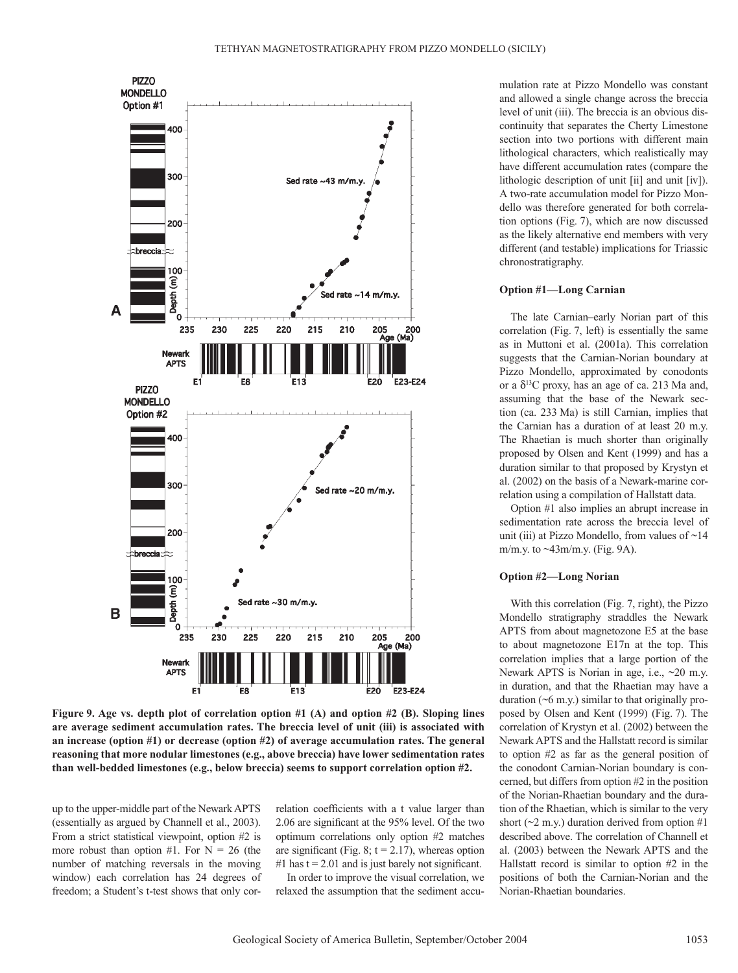

**Figure 9. Age vs. depth plot of correlation option #1 (A) and option #2 (B). Sloping lines are average sediment accumulation rates. The breccia level of unit (iii) is associated with an increase (option #1) or decrease (option #2) of average accumulation rates. The general reasoning that more nodular limestones (e.g., above breccia) have lower sedimentation rates than well-bedded limestones (e.g., below breccia) seems to support correlation option #2.**

up to the upper-middle part of the Newark APTS (essentially as argued by Channell et al., 2003). From a strict statistical viewpoint, option #2 is more robust than option #1. For  $N = 26$  (the number of matching reversals in the moving window) each correlation has 24 degrees of freedom; a Student's t-test shows that only correlation coefficients with a t value larger than 2.06 are significant at the 95% level. Of the two optimum correlations only option #2 matches are significant (Fig. 8;  $t = 2.17$ ), whereas option #1 has  $t = 2.01$  and is just barely not significant.

In order to improve the visual correlation, we relaxed the assumption that the sediment accumulation rate at Pizzo Mondello was constant and allowed a single change across the breccia level of unit (iii). The breccia is an obvious discontinuity that separates the Cherty Limestone section into two portions with different main lithological characters, which realistically may have different accumulation rates (compare the lithologic description of unit [ii] and unit [iv]). A two-rate accumulation model for Pizzo Mondello was therefore generated for both correlation options (Fig. 7), which are now discussed as the likely alternative end members with very different (and testable) implications for Triassic chronostratigraphy.

#### **Option #1—Long Carnian**

The late Carnian–early Norian part of this correlation (Fig. 7, left) is essentially the same as in Muttoni et al. (2001a). This correlation suggests that the Carnian-Norian boundary at Pizzo Mondello, approximated by conodonts or a  $\delta^{13}$ C proxy, has an age of ca. 213 Ma and, assuming that the base of the Newark section (ca. 233 Ma) is still Carnian, implies that the Carnian has a duration of at least 20 m.y. The Rhaetian is much shorter than originally proposed by Olsen and Kent (1999) and has a duration similar to that proposed by Krystyn et al. (2002) on the basis of a Newark-marine correlation using a compilation of Hallstatt data.

Option #1 also implies an abrupt increase in sedimentation rate across the breccia level of unit (iii) at Pizzo Mondello, from values of  $\sim$ 14 m/m.y. to ~43m/m.y. (Fig. 9A).

#### **Option #2—Long Norian**

With this correlation (Fig. 7, right), the Pizzo Mondello stratigraphy straddles the Newark APTS from about magnetozone E5 at the base to about magnetozone E17n at the top. This correlation implies that a large portion of the Newark APTS is Norian in age, i.e., ~20 m.y. in duration, and that the Rhaetian may have a duration  $(6 \, \text{m} \cdot \text{y})$  similar to that originally proposed by Olsen and Kent (1999) (Fig. 7). The correlation of Krystyn et al. (2002) between the Newark APTS and the Hallstatt record is similar to option #2 as far as the general position of the conodont Carnian-Norian boundary is concerned, but differs from option #2 in the position of the Norian-Rhaetian boundary and the duration of the Rhaetian, which is similar to the very short ( $\sim$ 2 m.y.) duration derived from option #1 described above. The correlation of Channell et al. (2003) between the Newark APTS and the Hallstatt record is similar to option #2 in the positions of both the Carnian-Norian and the Norian-Rhaetian boundaries.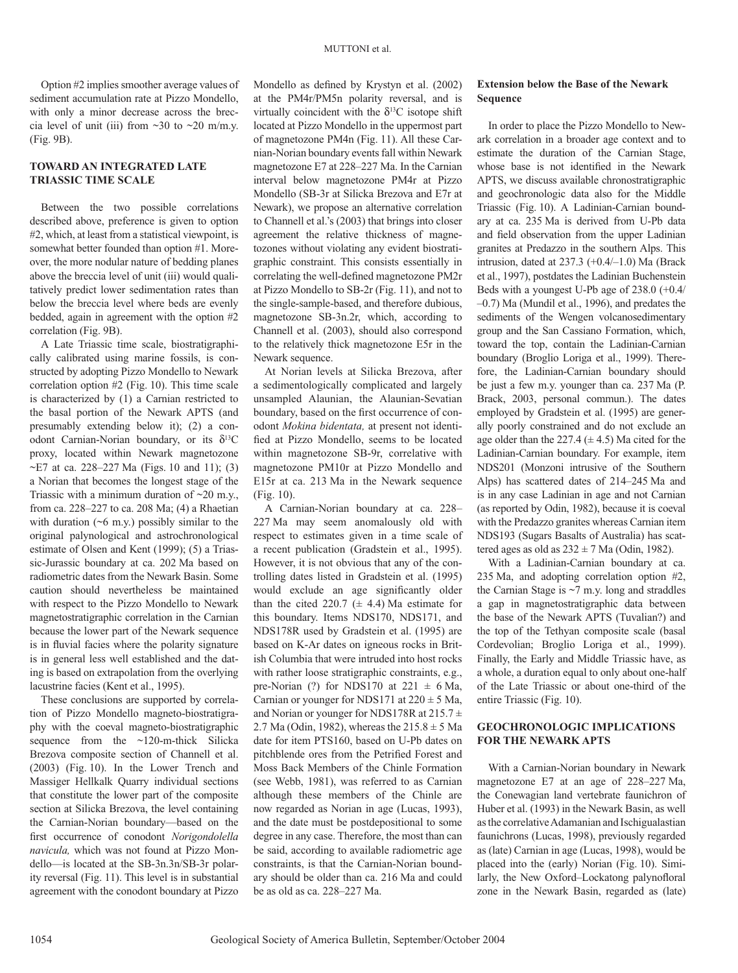Option #2 implies smoother average values of sediment accumulation rate at Pizzo Mondello, with only a minor decrease across the breccia level of unit (iii) from  $\sim$ 30 to  $\sim$ 20 m/m.y. (Fig. 9B).

#### **TOWARD AN INTEGRATED LATE TRIASSIC TIME SCALE**

Between the two possible correlations described above, preference is given to option #2, which, at least from a statistical viewpoint, is somewhat better founded than option #1. Moreover, the more nodular nature of bedding planes above the breccia level of unit (iii) would qualitatively predict lower sedimentation rates than below the breccia level where beds are evenly bedded, again in agreement with the option #2 correlation (Fig. 9B).

A Late Triassic time scale, biostratigraphically calibrated using marine fossils, is constructed by adopting Pizzo Mondello to Newark correlation option #2 (Fig. 10). This time scale is characterized by (1) a Carnian restricted to the basal portion of the Newark APTS (and presumably extending below it); (2) a conodont Carnian-Norian boundary, or its  $\delta^{13}C$ proxy, located within Newark magnetozone  $\sim$ E7 at ca. 228–227 Ma (Figs. 10 and 11); (3) a Norian that becomes the longest stage of the Triassic with a minimum duration of  $\sim$ 20 m.y., from ca. 228–227 to ca. 208 Ma; (4) a Rhaetian with duration  $(6 \, \text{m.y.})$  possibly similar to the original palynological and astrochronological estimate of Olsen and Kent (1999); (5) a Triassic-Jurassic boundary at ca. 202 Ma based on radiometric dates from the Newark Basin. Some caution should nevertheless be maintained with respect to the Pizzo Mondello to Newark magnetostratigraphic correlation in the Carnian because the lower part of the Newark sequence is in fluvial facies where the polarity signature is in general less well established and the dating is based on extrapolation from the overlying lacustrine facies (Kent et al., 1995).

These conclusions are supported by correlation of Pizzo Mondello magneto-biostratigraphy with the coeval magneto-biostratigraphic sequence from the ~120-m-thick Silicka Brezova composite section of Channell et al. (2003) (Fig. 10). In the Lower Trench and Massiger Hellkalk Quarry individual sections that constitute the lower part of the composite section at Silicka Brezova, the level containing the Carnian-Norian boundary—based on the first occurrence of conodont *Norigondolella navicula,* which was not found at Pizzo Mondello—is located at the SB-3n.3n/SB-3r polarity reversal (Fig. 11). This level is in substantial agreement with the conodont boundary at Pizzo

Mondello as defined by Krystyn et al. (2002) at the PM4r/PM5n polarity reversal, and is virtually coincident with the  $\delta^{13}$ C isotope shift located at Pizzo Mondello in the uppermost part of magnetozone PM4n (Fig. 11). All these Carnian-Norian boundary events fall within Newark magnetozone E7 at 228–227 Ma. In the Carnian interval below magnetozone PM4r at Pizzo Mondello (SB-3r at Silicka Brezova and E7r at Newark), we propose an alternative correlation to Channell et al.'s (2003) that brings into closer agreement the relative thickness of magnetozones without violating any evident biostratigraphic constraint. This consists essentially in correlating the well-defined magnetozone PM2r at Pizzo Mondello to SB-2r (Fig. 11), and not to the single-sample-based, and therefore dubious, magnetozone SB-3n.2r, which, according to Channell et al. (2003), should also correspond to the relatively thick magnetozone E5r in the Newark sequence.

At Norian levels at Silicka Brezova, after a sedimentologically complicated and largely unsampled Alaunian, the Alaunian-Sevatian boundary, based on the first occurrence of conodont *Mokina bidentata,* at present not identified at Pizzo Mondello, seems to be located within magnetozone SB-9r, correlative with magnetozone PM10r at Pizzo Mondello and E15r at ca. 213 Ma in the Newark sequence (Fig. 10).

A Carnian-Norian boundary at ca. 228– 227 Ma may seem anomalously old with respect to estimates given in a time scale of a recent publication (Gradstein et al., 1995). However, it is not obvious that any of the controlling dates listed in Gradstein et al. (1995) would exclude an age significantly older than the cited 220.7  $(\pm 4.4)$  Ma estimate for this boundary. Items NDS170, NDS171, and NDS178R used by Gradstein et al. (1995) are based on K-Ar dates on igneous rocks in British Columbia that were intruded into host rocks with rather loose stratigraphic constraints, e.g., pre-Norian (?) for NDS170 at  $221 \pm 6$  Ma, Carnian or younger for NDS171 at  $220 \pm 5$  Ma, and Norian or younger for NDS178R at  $215.7 \pm$ 2.7 Ma (Odin, 1982), whereas the  $215.8 \pm 5$  Ma date for item PTS160, based on U-Pb dates on pitchblende ores from the Petrified Forest and Moss Back Members of the Chinle Formation (see Webb, 1981), was referred to as Carnian although these members of the Chinle are now regarded as Norian in age (Lucas, 1993), and the date must be postdepositional to some degree in any case. Therefore, the most than can be said, according to available radiometric age constraints, is that the Carnian-Norian boundary should be older than ca. 216 Ma and could be as old as ca. 228–227 Ma.

#### **Extension below the Base of the Newark Sequence**

In order to place the Pizzo Mondello to Newark correlation in a broader age context and to estimate the duration of the Carnian Stage, whose base is not identified in the Newark APTS, we discuss available chronostratigraphic and geochronologic data also for the Middle Triassic (Fig. 10). A Ladinian-Carnian boundary at ca. 235 Ma is derived from U-Pb data and field observation from the upper Ladinian granites at Predazzo in the southern Alps. This intrusion, dated at 237.3 (+0.4/–1.0) Ma (Brack et al., 1997), postdates the Ladinian Buchenstein Beds with a youngest U-Pb age of 238.0 (+0.4/ –0.7) Ma (Mundil et al., 1996), and predates the sediments of the Wengen volcanosedimentary group and the San Cassiano Formation, which, toward the top, contain the Ladinian-Carnian boundary (Broglio Loriga et al., 1999). Therefore, the Ladinian-Carnian boundary should be just a few m.y. younger than ca. 237 Ma (P. Brack, 2003, personal commun.). The dates employed by Gradstein et al. (1995) are generally poorly constrained and do not exclude an age older than the 227.4  $(\pm 4.5)$  Ma cited for the Ladinian-Carnian boundary. For example, item NDS201 (Monzoni intrusive of the Southern Alps) has scattered dates of 214–245 Ma and is in any case Ladinian in age and not Carnian (as reported by Odin, 1982), because it is coeval with the Predazzo granites whereas Carnian item NDS193 (Sugars Basalts of Australia) has scattered ages as old as  $232 \pm 7$  Ma (Odin, 1982).

With a Ladinian-Carnian boundary at ca. 235 Ma, and adopting correlation option #2, the Carnian Stage is  $\sim$ 7 m.y. long and straddles a gap in magnetostratigraphic data between the base of the Newark APTS (Tuvalian?) and the top of the Tethyan composite scale (basal Cordevolian; Broglio Loriga et al., 1999). Finally, the Early and Middle Triassic have, as a whole, a duration equal to only about one-half of the Late Triassic or about one-third of the entire Triassic (Fig. 10).

## **GEOCHRONOLOGIC IMPLICATIONS FOR THE NEWARK APTS**

With a Carnian-Norian boundary in Newark magnetozone E7 at an age of 228–227 Ma, the Conewagian land vertebrate faunichron of Huber et al. (1993) in the Newark Basin, as well as the correlative Adamanian and Ischigualastian faunichrons (Lucas, 1998), previously regarded as (late) Carnian in age (Lucas, 1998), would be placed into the (early) Norian (Fig. 10). Similarly, the New Oxford–Lockatong palynofloral zone in the Newark Basin, regarded as (late)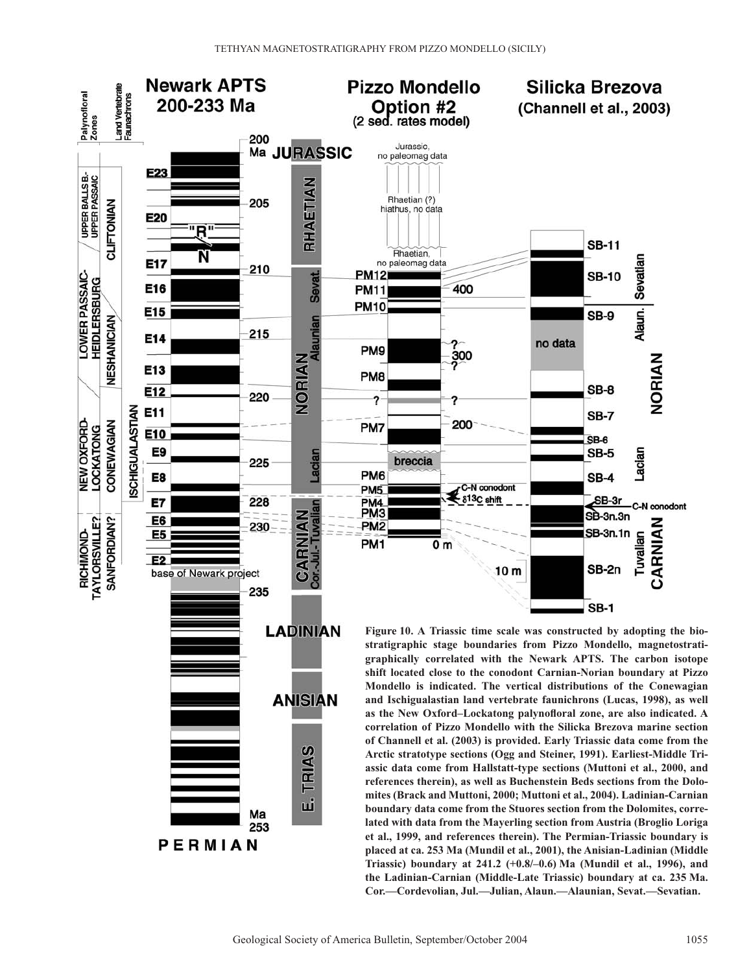

Geological Society of America Bulletin, September/October 2004 1055

**the Ladinian-Carnian (Middle-Late Triassic) boundary at ca. 235 Ma. Cor.—Cordevolian, Jul.—Julian, Alaun.—Alaunian, Sevat.—Sevatian.**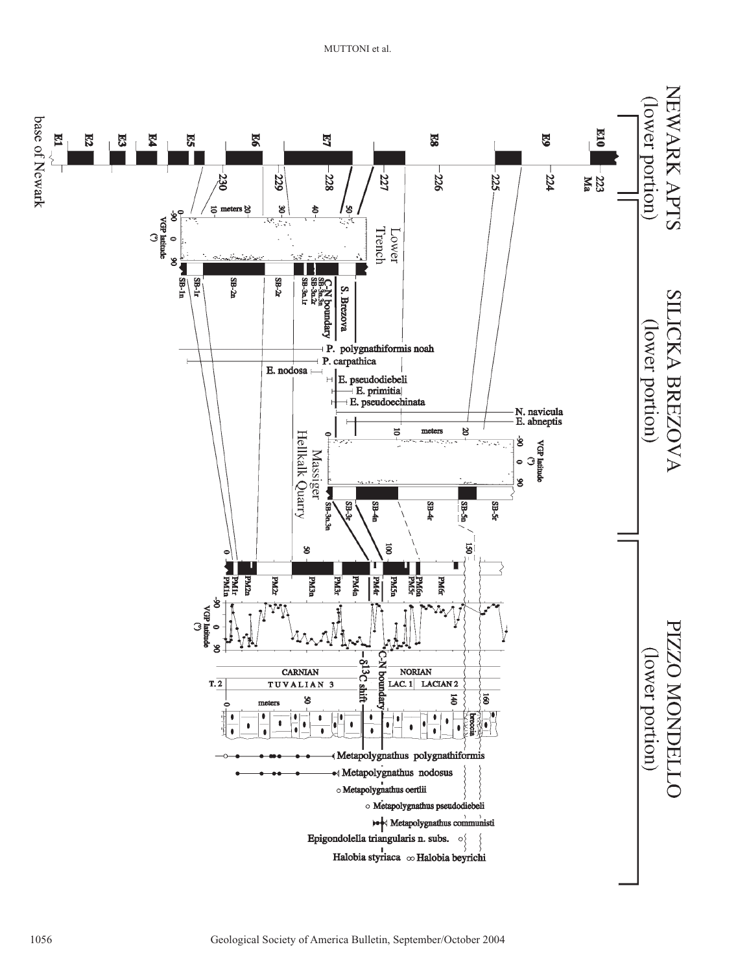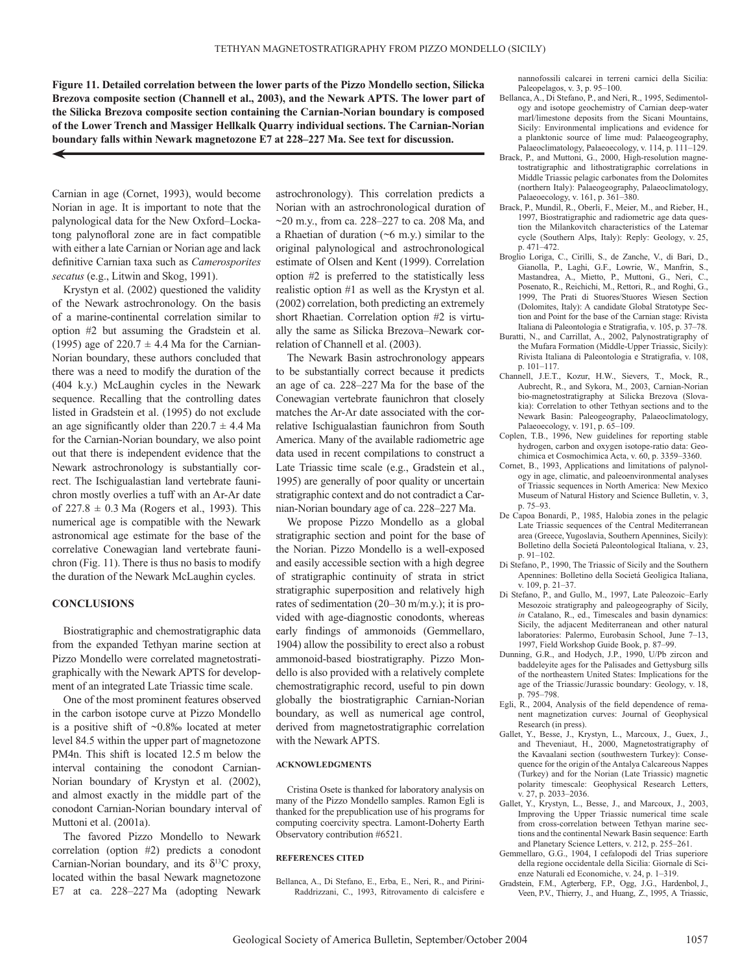**Figure 11. Detailed correlation between the lower parts of the Pizzo Mondello section, Silicka Brezova composite section (Channell et al., 2003), and the Newark APTS. The lower part of the Silicka Brezova composite section containing the Carnian-Norian boundary is composed of the Lower Trench and Massiger Hellkalk Quarry individual sections. The Carnian-Norian boundary falls within Newark magnetozone E7 at 228–227 Ma. See text for discussion.**

Carnian in age (Cornet, 1993), would become Norian in age. It is important to note that the palynological data for the New Oxford–Lockatong palynofloral zone are in fact compatible with either a late Carnian or Norian age and lack definitive Carnian taxa such as *Camerosporites secatus* (e.g., Litwin and Skog, 1991).

Krystyn et al. (2002) questioned the validity of the Newark astrochronology. On the basis of a marine-continental correlation similar to option #2 but assuming the Gradstein et al. (1995) age of 220.7  $\pm$  4.4 Ma for the Carnian-Norian boundary, these authors concluded that there was a need to modify the duration of the (404 k.y.) McLaughin cycles in the Newark sequence. Recalling that the controlling dates listed in Gradstein et al. (1995) do not exclude an age significantly older than  $220.7 \pm 4.4$  Ma for the Carnian-Norian boundary, we also point out that there is independent evidence that the Newark astrochronology is substantially correct. The Ischigualastian land vertebrate faunichron mostly overlies a tuff with an Ar-Ar date of  $227.8 \pm 0.3$  Ma (Rogers et al., 1993). This numerical age is compatible with the Newark astronomical age estimate for the base of the correlative Conewagian land vertebrate faunichron (Fig. 11). There is thus no basis to modify the duration of the Newark McLaughin cycles.

#### **CONCLUSIONS**

Biostratigraphic and chemostratigraphic data from the expanded Tethyan marine section at Pizzo Mondello were correlated magnetostratigraphically with the Newark APTS for development of an integrated Late Triassic time scale.

One of the most prominent features observed in the carbon isotope curve at Pizzo Mondello is a positive shift of ~0.8‰ located at meter level 84.5 within the upper part of magnetozone PM4n. This shift is located 12.5 m below the interval containing the conodont Carnian-Norian boundary of Krystyn et al. (2002), and almost exactly in the middle part of the conodont Carnian-Norian boundary interval of Muttoni et al. (2001a).

The favored Pizzo Mondello to Newark correlation (option #2) predicts a conodont Carnian-Norian boundary, and its  $\delta^{13}C$  proxy, located within the basal Newark magnetozone E7 at ca. 228–227 Ma (adopting Newark

astrochronology). This correlation predicts a Norian with an astrochronological duration of  $\sim$ 20 m.y., from ca. 228–227 to ca. 208 Ma, and a Rhaetian of duration (~6 m.y.) similar to the original palynological and astrochronological estimate of Olsen and Kent (1999). Correlation option #2 is preferred to the statistically less realistic option #1 as well as the Krystyn et al. (2002) correlation, both predicting an extremely short Rhaetian. Correlation option #2 is virtually the same as Silicka Brezova–Newark correlation of Channell et al. (2003).

The Newark Basin astrochronology appears to be substantially correct because it predicts an age of ca. 228–227 Ma for the base of the Conewagian vertebrate faunichron that closely matches the Ar-Ar date associated with the correlative Ischigualastian faunichron from South America. Many of the available radiometric age data used in recent compilations to construct a Late Triassic time scale (e.g., Gradstein et al., 1995) are generally of poor quality or uncertain stratigraphic context and do not contradict a Carnian-Norian boundary age of ca. 228–227 Ma.

We propose Pizzo Mondello as a global stratigraphic section and point for the base of the Norian. Pizzo Mondello is a well-exposed and easily accessible section with a high degree of stratigraphic continuity of strata in strict stratigraphic superposition and relatively high rates of sedimentation (20–30 m/m.y.); it is provided with age-diagnostic conodonts, whereas early findings of ammonoids (Gemmellaro, 1904) allow the possibility to erect also a robust ammonoid-based biostratigraphy. Pizzo Mondello is also provided with a relatively complete chemostratigraphic record, useful to pin down globally the biostratigraphic Carnian-Norian boundary, as well as numerical age control, derived from magnetostratigraphic correlation with the Newark APTS.

#### **ACKNOWLEDGMENTS**

Cristina Osete is thanked for laboratory analysis on many of the Pizzo Mondello samples. Ramon Egli is thanked for the prepublication use of his programs for computing coercivity spectra. Lamont-Doherty Earth Observatory contribution #6521.

#### **REFERENCES CITED**

Bellanca, A., Di Stefano, E., Erba, E., Neri, R., and Pirini-Raddrizzani, C., 1993, Ritrovamento di calcisfere e

nannofossili calcarei in terreni carnici della Sicilia: Paleopelagos, v. 3, p. 95–100.

- Bellanca, A., Di Stefano, P., and Neri, R., 1995, Sedimentology and isotope geochemistry of Carnian deep-water marl/limestone deposits from the Sicani Mountains, Sicily: Environmental implications and evidence for a planktonic source of lime mud: Palaeogeography, Palaeoclimatology, Palaeoecology, v. 114, p. 111-129.
- Brack, P., and Muttoni, G., 2000, High-resolution magnetostratigraphic and lithostratigraphic correlations in Middle Triassic pelagic carbonates from the Dolomites (northern Italy): Palaeogeography, Palaeoclimatology, Palaeoecology, v. 161, p. 361–380.
- Brack, P., Mundil, R., Oberli, F., Meier, M., and Rieber, H., 1997, Biostratigraphic and radiometric age data question the Milankovitch characteristics of the Latemar cycle (Southern Alps, Italy): Reply: Geology, v. 25, p. 471–472.
- Broglio Loriga, C., Cirilli, S., de Zanche, V., di Bari, D., Gianolla, P., Laghi, G.F., Lowrie, W., Manfrin, S., Mastandrea, A., Mietto, P., Muttoni, G., Neri, C., Posenato, R., Reichichi, M., Rettori, R., and Roghi, G., 1999, The Prati di Stuores/Stuores Wiesen Section (Dolomites, Italy): A candidate Global Stratotype Section and Point for the base of the Carnian stage: Rivista Italiana di Paleontologia e Stratigrafia, v. 105, p. 37–78.
- Buratti, N., and Carrillat, A., 2002, Palynostratigraphy of the Mufara Formation (Middle-Upper Triassic, Sicily): Rivista Italiana di Paleontologia e Stratigrafia, v. 108, p. 101–117.
- Channell, J.E.T., Kozur, H.W., Sievers, T., Mock, R., Aubrecht, R., and Sykora, M., 2003, Carnian-Norian bio-magnetostratigraphy at Silicka Brezova (Slovakia): Correlation to other Tethyan sections and to the Newark Basin: Paleogeography, Palaeoclimatology, Palaeoecology, v. 191, p. 65–109.
- Coplen, T.B., 1996, New guidelines for reporting stable hydrogen, carbon and oxygen isotope-ratio data: Geochimica et Cosmochimica Acta, v. 60, p. 3359–3360.
- Cornet, B., 1993, Applications and limitations of palynology in age, climatic, and paleoenvironmental analyses of Triassic sequences in North America: New Mexico Museum of Natural History and Science Bulletin, v. 3, p. 75–93.
- De Capoa Bonardi, P., 1985, Halobia zones in the pelagic Late Triassic sequences of the Central Mediterranean area (Greece, Yugoslavia, Southern Apennines, Sicily): Bolletino della Societá Paleontological Italiana, v. 23, p. 91–102.
- Di Stefano, P., 1990, The Triassic of Sicily and the Southern Apennines: Bolletino della Societá Geoligica Italiana, v. 109, p. 21–37.
- Di Stefano, P., and Gullo, M., 1997, Late Paleozoic–Early Mesozoic stratigraphy and paleogeography of Sicily, *in* Catalano, R., ed., Timescales and basin dynamics: Sicily, the adjacent Mediterranean and other natural laboratories: Palermo, Eurobasin School, June 7–13, 1997, Field Workshop Guide Book, p. 87–99.
- Dunning, G.R., and Hodych, J.P., 1990, U/Pb zircon and baddeleyite ages for the Palisades and Gettysburg sills of the northeastern United States: Implications for the age of the Triassic/Jurassic boundary: Geology, v. 18, p. 795–798.
- Egli, R., 2004, Analysis of the field dependence of remanent magnetization curves: Journal of Geophysical Research (in press).
- Gallet, Y., Besse, J., Krystyn, L., Marcoux, J., Guex, J., and Theveniaut, H., 2000, Magnetostratigraphy of the Kavaalani section (southwestern Turkey): Consequence for the origin of the Antalya Calcareous Nappes (Turkey) and for the Norian (Late Triassic) magnetic polarity timescale: Geophysical Research Letters, v. 27, p. 2033–2036.
- Gallet, Y., Krystyn, L., Besse, J., and Marcoux, J., 2003, Improving the Upper Triassic numerical time scale from cross-correlation between Tethyan marine sections and the continental Newark Basin sequence: Earth and Planetary Science Letters, v. 212, p. 255–261.
- Gemmellaro, G.G., 1904, I cefalopodi del Trias superiore della regione occidentale della Sicilia: Giornale di Scienze Naturali ed Economiche, v. 24, p. 1–319.
- Gradstein, F.M., Agterberg, F.P., Ogg, J.G., Hardenbol, J., Veen, P.V., Thierry, J., and Huang, Z., 1995, A Triassic,